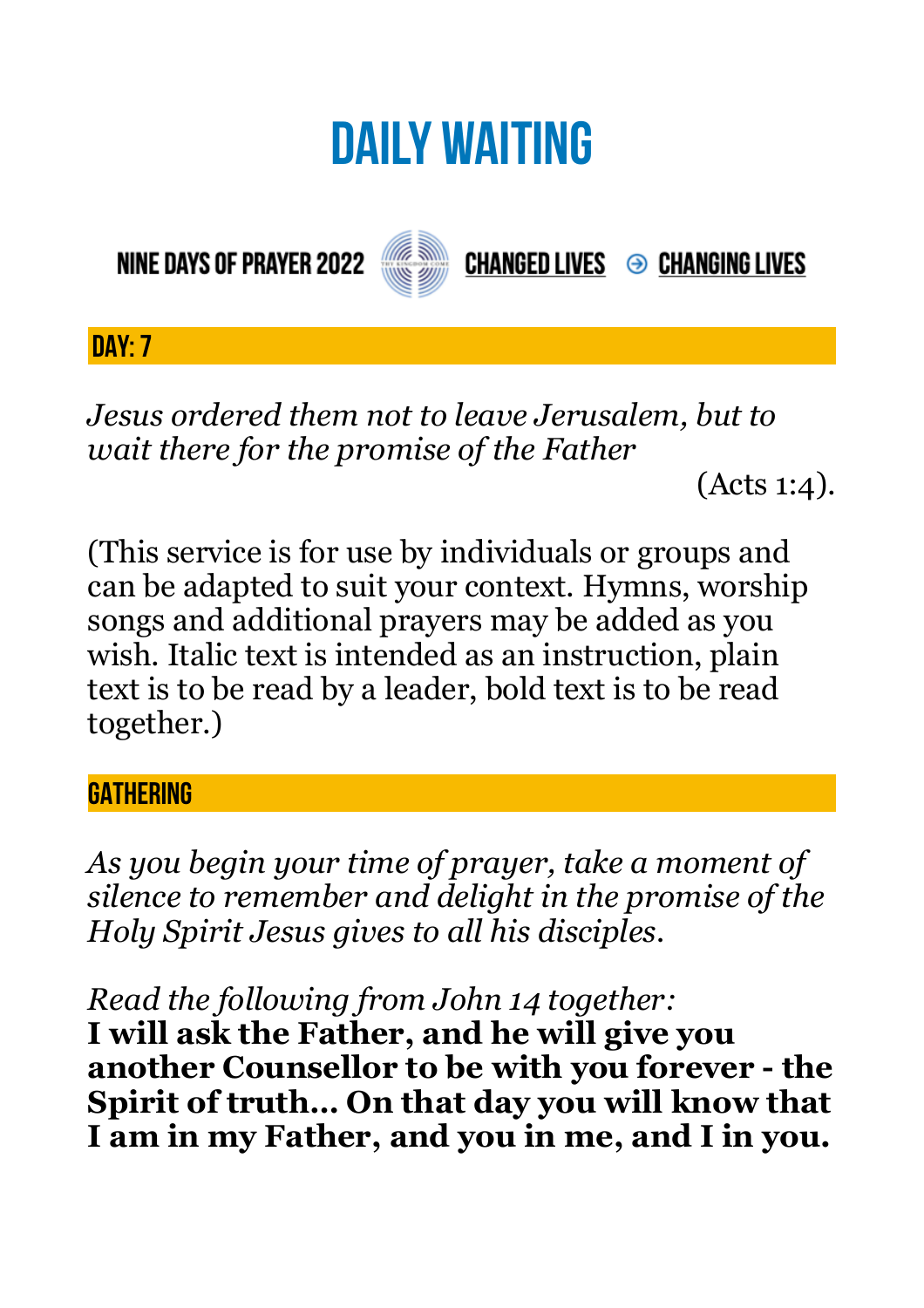# **DAILY WAITING**

**NINE DAYS OF PRAYER 2022** 



**CHANGED LIVES → CHANGING LIVES** 

**DAY: 7**

*Jesus ordered them not to leave Jerusalem, but to wait there for the promise of the Father* 

(Acts 1:4).

(This service is for use by individuals or groups and can be adapted to suit your context. Hymns, worship songs and additional prayers may be added as you wish. Italic text is intended as an instruction, plain text is to be read by a leader, bold text is to be read together.)

### **GATHERING**

*As you begin your time of prayer, take a moment of silence to remember and delight in the promise of the Holy Spirit Jesus gives to all his disciples.*

*Read the following from John 14 together:* 

**I will ask the Father, and he will give you another Counsellor to be with you forever - the Spirit of truth… On that day you will know that I am in my Father, and you in me, and I in you.**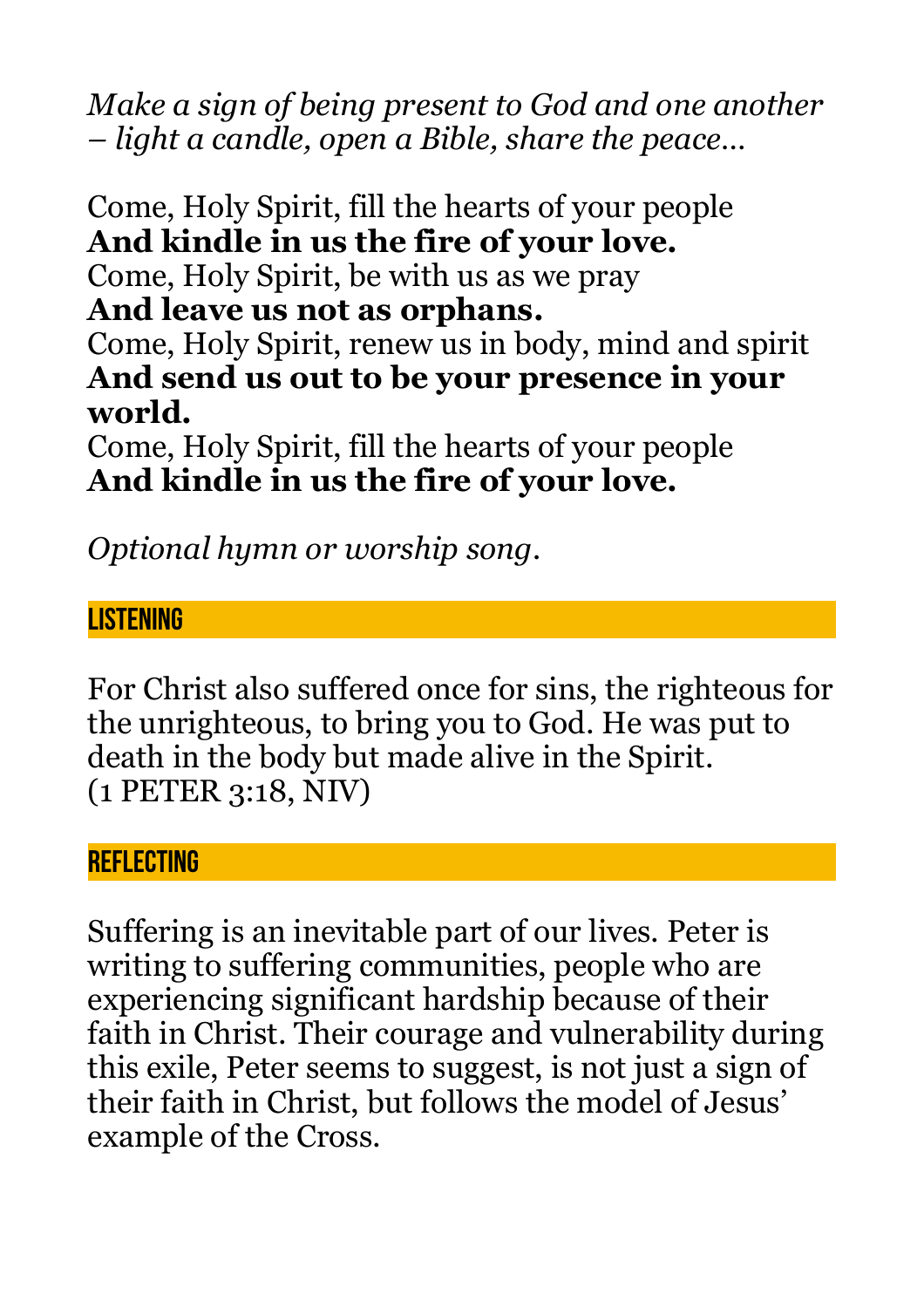*Make a sign of being present to God and one another – light a candle, open a Bible, share the peace…* 

Come, Holy Spirit, fill the hearts of your people **And kindle in us the fire of your love.**  Come, Holy Spirit, be with us as we pray **And leave us not as orphans.**  Come, Holy Spirit, renew us in body, mind and spirit **And send us out to be your presence in your world.**  Come, Holy Spirit, fill the hearts of your people

**And kindle in us the fire of your love.** 

*Optional hymn or worship song.* 

## **LISTENING**

For Christ also suffered once for sins, the righteous for the unrighteous, to bring you to God. He was put to death in the body but made alive in the Spirit. (1 PETER 3:18, NIV)

#### **REFLECTING**

Suffering is an inevitable part of our lives. Peter is writing to suffering communities, people who are experiencing significant hardship because of their faith in Christ. Their courage and vulnerability during this exile, Peter seems to suggest, is not just a sign of their faith in Christ, but follows the model of Jesus' example of the Cross.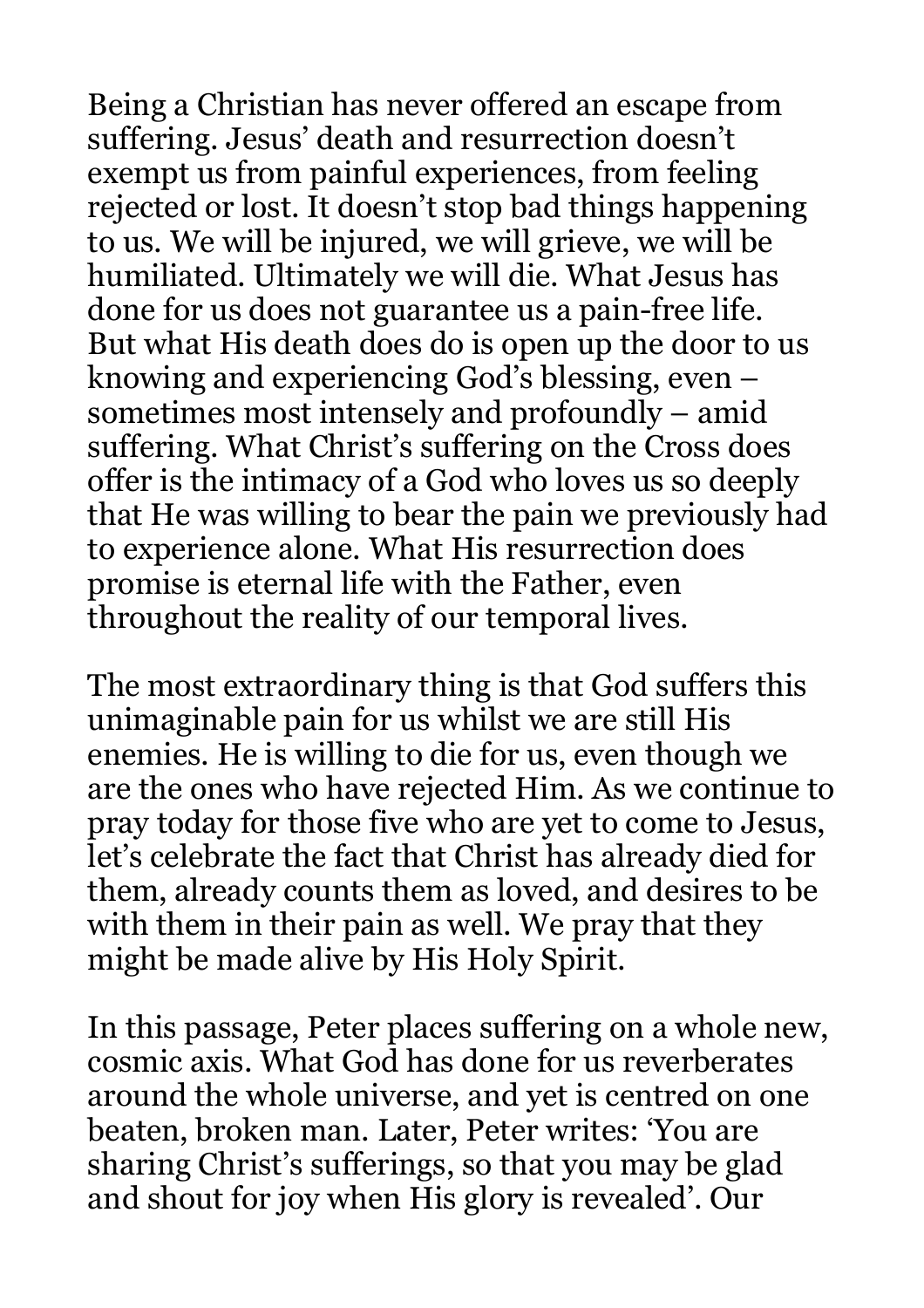Being a Christian has never offered an escape from suffering. Jesus' death and resurrection doesn't exempt us from painful experiences, from feeling rejected or lost. It doesn't stop bad things happening to us. We will be injured, we will grieve, we will be humiliated. Ultimately we will die. What Jesus has done for us does not guarantee us a pain-free life. But what His death does do is open up the door to us knowing and experiencing God's blessing, even – sometimes most intensely and profoundly – amid suffering. What Christ's suffering on the Cross does offer is the intimacy of a God who loves us so deeply that He was willing to bear the pain we previously had to experience alone. What His resurrection does promise is eternal life with the Father, even throughout the reality of our temporal lives.

The most extraordinary thing is that God suffers this unimaginable pain for us whilst we are still His enemies. He is willing to die for us, even though we are the ones who have rejected Him. As we continue to pray today for those five who are yet to come to Jesus, let's celebrate the fact that Christ has already died for them, already counts them as loved, and desires to be with them in their pain as well. We pray that they might be made alive by His Holy Spirit.

In this passage, Peter places suffering on a whole new, cosmic axis. What God has done for us reverberates around the whole universe, and yet is centred on one beaten, broken man. Later, Peter writes: 'You are sharing Christ's sufferings, so that you may be glad and shout for joy when His glory is revealed'. Our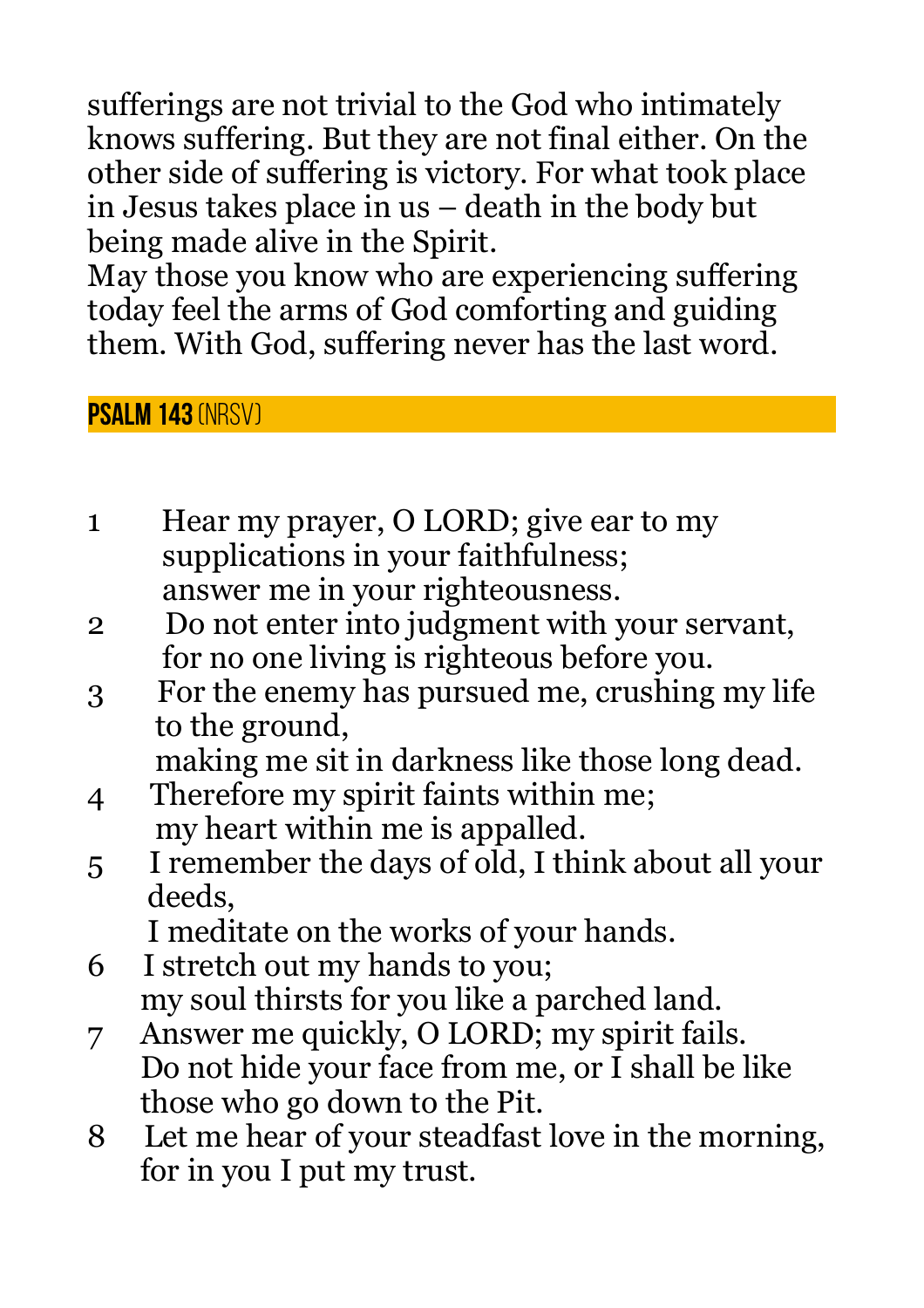sufferings are not trivial to the God who intimately knows suffering. But they are not final either. On the other side of suffering is victory. For what took place in Jesus takes place in us – death in the body but being made alive in the Spirit.

May those you know who are experiencing suffering today feel the arms of God comforting and guiding them. With God, suffering never has the last word.

## **Psalm 143** (NRSV)

- 1 Hear my prayer, O LORD; give ear to my supplications in your faithfulness; answer me in your righteousness.
- 2 Do not enter into judgment with your servant, for no one living is righteous before you.
- 3 For the enemy has pursued me, crushing my life to the ground,

making me sit in darkness like those long dead.

- 4 Therefore my spirit faints within me; my heart within me is appalled.
- 5 I remember the days of old, I think about all your deeds,

I meditate on the works of your hands.

- 6 I stretch out my hands to you; my soul thirsts for you like a parched land.
- 7 Answer me quickly, O LORD; my spirit fails. Do not hide your face from me, or I shall be like those who go down to the Pit.
- 8 Let me hear of your steadfast love in the morning, for in you I put my trust.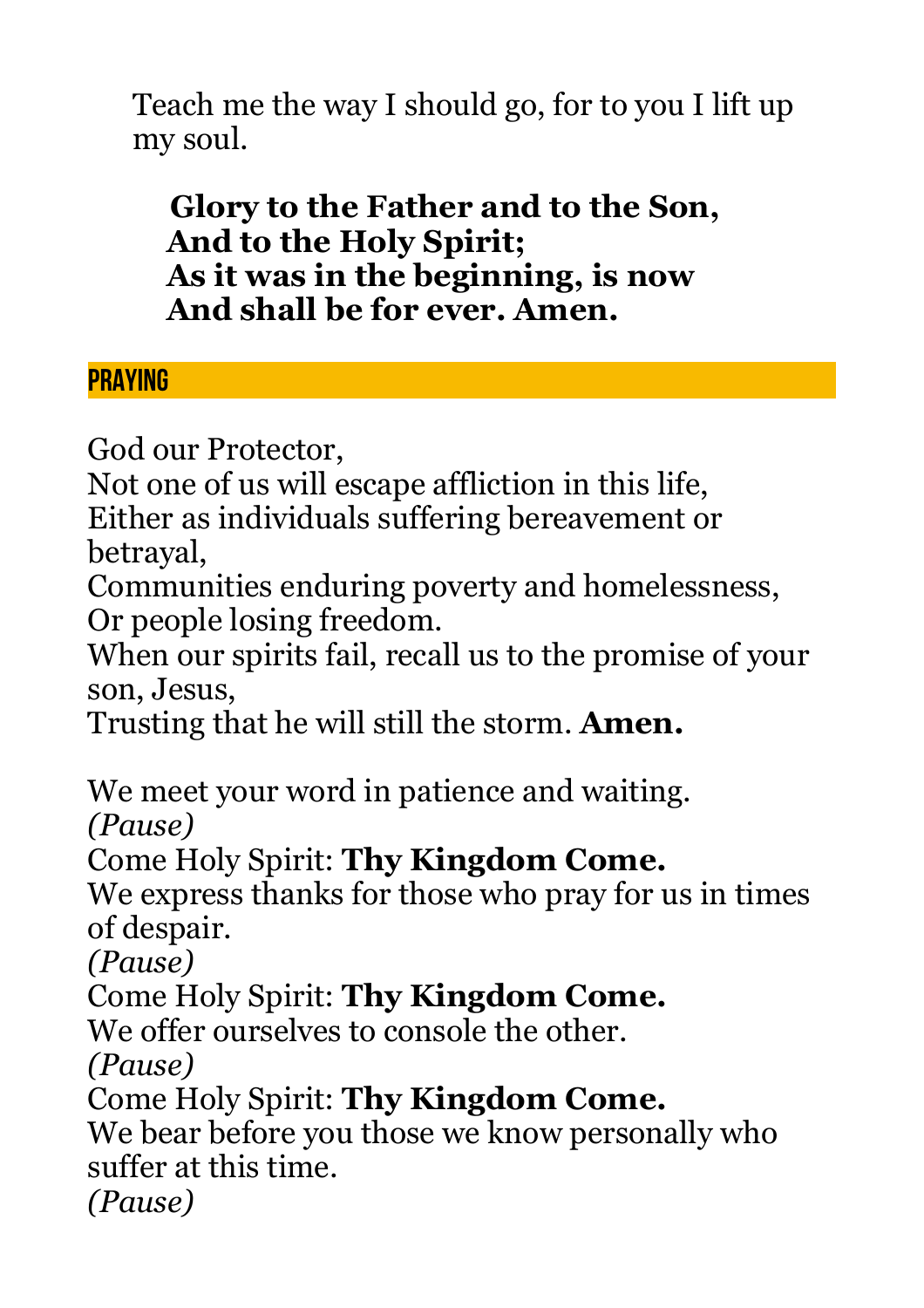Teach me the way I should go, for to you I lift up my soul.

 **Glory to the Father and to the Son, And to the Holy Spirit; As it was in the beginning, is now And shall be for ever. Amen.**

## **PRAYING**

God our Protector,

Not one of us will escape affliction in this life, Either as individuals suffering bereavement or betrayal,

Communities enduring poverty and homelessness, Or people losing freedom.

When our spirits fail, recall us to the promise of your son, Jesus,

Trusting that he will still the storm. **Amen.**

We meet your word in patience and waiting.

*(Pause)*

Come Holy Spirit: **Thy Kingdom Come.**

We express thanks for those who pray for us in times of despair.

*(Pause)*

Come Holy Spirit: **Thy Kingdom Come.**

We offer ourselves to console the other.

*(Pause)*

Come Holy Spirit: **Thy Kingdom Come.**

We bear before you those we know personally who suffer at this time.

*(Pause)*